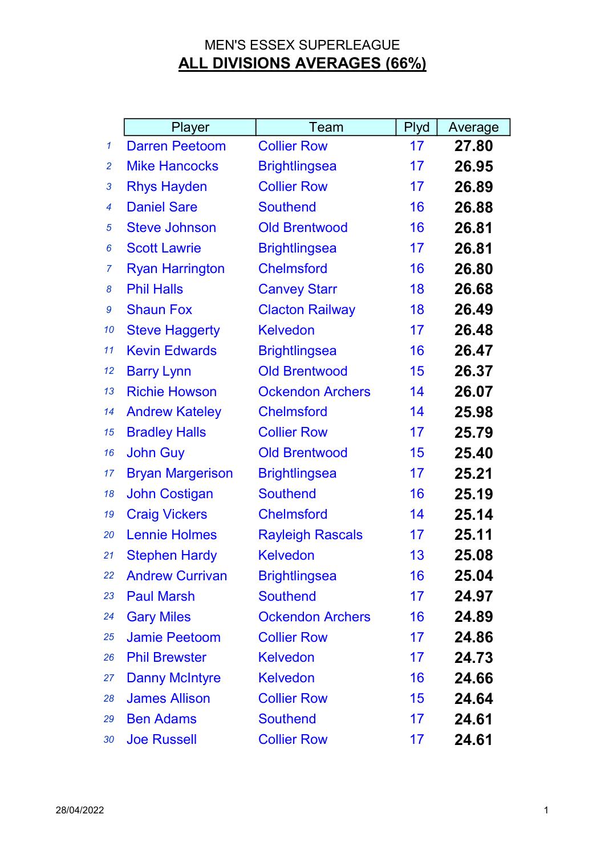|              | Player                  | Team                    | Plyd | Average |
|--------------|-------------------------|-------------------------|------|---------|
| $\mathcal I$ | <b>Darren Peetoom</b>   | <b>Collier Row</b>      | 17   | 27.80   |
| 2            | <b>Mike Hancocks</b>    | <b>Brightlingsea</b>    | 17   | 26.95   |
| 3            | <b>Rhys Hayden</b>      | <b>Collier Row</b>      | 17   | 26.89   |
| 4            | <b>Daniel Sare</b>      | <b>Southend</b>         | 16   | 26.88   |
| 5            | <b>Steve Johnson</b>    | <b>Old Brentwood</b>    | 16   | 26.81   |
| 6            | <b>Scott Lawrie</b>     | <b>Brightlingsea</b>    | 17   | 26.81   |
| 7            | <b>Ryan Harrington</b>  | <b>Chelmsford</b>       | 16   | 26.80   |
| 8            | <b>Phil Halls</b>       | <b>Canvey Starr</b>     | 18   | 26.68   |
| 9            | <b>Shaun Fox</b>        | <b>Clacton Railway</b>  | 18   | 26.49   |
| 10           | <b>Steve Haggerty</b>   | <b>Kelvedon</b>         | 17   | 26.48   |
| 11           | <b>Kevin Edwards</b>    | <b>Brightlingsea</b>    | 16   | 26.47   |
| 12           | <b>Barry Lynn</b>       | <b>Old Brentwood</b>    | 15   | 26.37   |
| 13           | <b>Richie Howson</b>    | <b>Ockendon Archers</b> | 14   | 26.07   |
| 14           | <b>Andrew Kateley</b>   | <b>Chelmsford</b>       | 14   | 25.98   |
| 15           | <b>Bradley Halls</b>    | <b>Collier Row</b>      | 17   | 25.79   |
| 16           | <b>John Guy</b>         | <b>Old Brentwood</b>    | 15   | 25.40   |
| 17           | <b>Bryan Margerison</b> | <b>Brightlingsea</b>    | 17   | 25.21   |
| 18           | <b>John Costigan</b>    | <b>Southend</b>         | 16   | 25.19   |
| 19           | <b>Craig Vickers</b>    | <b>Chelmsford</b>       | 14   | 25.14   |
| 20           | <b>Lennie Holmes</b>    | <b>Rayleigh Rascals</b> | 17   | 25.11   |
| 21           | <b>Stephen Hardy</b>    | <b>Kelvedon</b>         | 13   | 25.08   |
| 22           | <b>Andrew Currivan</b>  | <b>Brightlingsea</b>    | 16   | 25.04   |
| 23           | <b>Paul Marsh</b>       | <b>Southend</b>         | 17   | 24.97   |
| 24           | <b>Gary Miles</b>       | <b>Ockendon Archers</b> | 16   | 24.89   |
| 25           | <b>Jamie Peetoom</b>    | <b>Collier Row</b>      | 17   | 24.86   |
| 26           | <b>Phil Brewster</b>    | <b>Kelvedon</b>         | 17   | 24.73   |
| 27           | <b>Danny McIntyre</b>   | <b>Kelvedon</b>         | 16   | 24.66   |
| 28           | <b>James Allison</b>    | <b>Collier Row</b>      | 15   | 24.64   |
| 29           | <b>Ben Adams</b>        | <b>Southend</b>         | 17   | 24.61   |
| 30           | <b>Joe Russell</b>      | <b>Collier Row</b>      | 17   | 24.61   |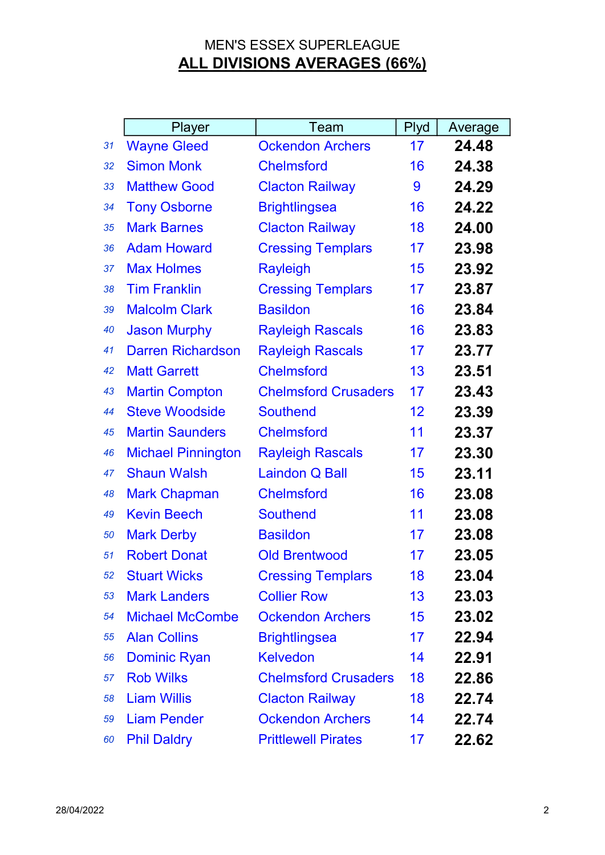|    | Player                    | Team                        | <b>Plyd</b> | Average |
|----|---------------------------|-----------------------------|-------------|---------|
| 31 | <b>Wayne Gleed</b>        | <b>Ockendon Archers</b>     | 17          | 24.48   |
| 32 | <b>Simon Monk</b>         | <b>Chelmsford</b>           | 16          | 24.38   |
| 33 | <b>Matthew Good</b>       | <b>Clacton Railway</b>      | 9           | 24.29   |
| 34 | <b>Tony Osborne</b>       | <b>Brightlingsea</b>        | 16          | 24.22   |
| 35 | <b>Mark Barnes</b>        | <b>Clacton Railway</b>      | 18          | 24.00   |
| 36 | <b>Adam Howard</b>        | <b>Cressing Templars</b>    | 17          | 23.98   |
| 37 | <b>Max Holmes</b>         | <b>Rayleigh</b>             | 15          | 23.92   |
| 38 | <b>Tim Franklin</b>       | <b>Cressing Templars</b>    | 17          | 23.87   |
| 39 | <b>Malcolm Clark</b>      | <b>Basildon</b>             | 16          | 23.84   |
| 40 | <b>Jason Murphy</b>       | <b>Rayleigh Rascals</b>     | 16          | 23.83   |
| 41 | <b>Darren Richardson</b>  | <b>Rayleigh Rascals</b>     | 17          | 23.77   |
| 42 | <b>Matt Garrett</b>       | <b>Chelmsford</b>           | 13          | 23.51   |
| 43 | <b>Martin Compton</b>     | <b>Chelmsford Crusaders</b> | 17          | 23.43   |
| 44 | <b>Steve Woodside</b>     | <b>Southend</b>             | 12          | 23.39   |
| 45 | <b>Martin Saunders</b>    | <b>Chelmsford</b>           | 11          | 23.37   |
| 46 | <b>Michael Pinnington</b> | <b>Rayleigh Rascals</b>     | 17          | 23.30   |
| 47 | <b>Shaun Walsh</b>        | <b>Laindon Q Ball</b>       | 15          | 23.11   |
| 48 | <b>Mark Chapman</b>       | <b>Chelmsford</b>           | 16          | 23.08   |
| 49 | <b>Kevin Beech</b>        | <b>Southend</b>             | 11          | 23.08   |
| 50 | <b>Mark Derby</b>         | <b>Basildon</b>             | 17          | 23.08   |
| 51 | <b>Robert Donat</b>       | <b>Old Brentwood</b>        | 17          | 23.05   |
| 52 | <b>Stuart Wicks</b>       | <b>Cressing Templars</b>    | 18          | 23.04   |
| 53 | <b>Mark Landers</b>       | <b>Collier Row</b>          | 13          | 23.03   |
| 54 | <b>Michael McCombe</b>    | <b>Ockendon Archers</b>     | 15          | 23.02   |
| 55 | <b>Alan Collins</b>       | <b>Brightlingsea</b>        | 17          | 22.94   |
| 56 | <b>Dominic Ryan</b>       | <b>Kelvedon</b>             | 14          | 22.91   |
| 57 | <b>Rob Wilks</b>          | <b>Chelmsford Crusaders</b> | 18          | 22.86   |
| 58 | <b>Liam Willis</b>        | <b>Clacton Railway</b>      | 18          | 22.74   |
| 59 | <b>Liam Pender</b>        | <b>Ockendon Archers</b>     | 14          | 22.74   |
| 60 | <b>Phil Daldry</b>        | <b>Prittlewell Pirates</b>  | 17          | 22.62   |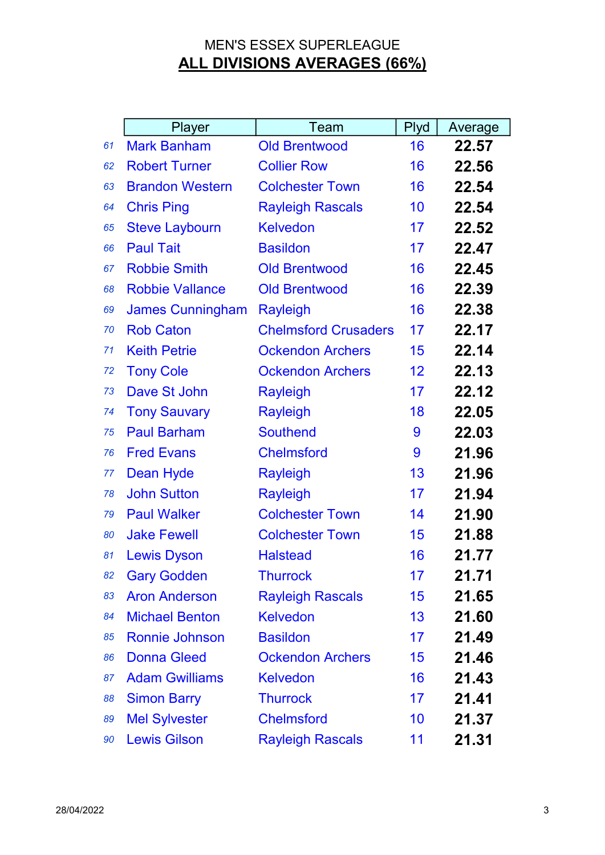|    | Player                  | Team                        | Plyd | Average |
|----|-------------------------|-----------------------------|------|---------|
| 61 | <b>Mark Banham</b>      | <b>Old Brentwood</b>        | 16   | 22.57   |
| 62 | <b>Robert Turner</b>    | <b>Collier Row</b>          | 16   | 22.56   |
| 63 | <b>Brandon Western</b>  | <b>Colchester Town</b>      | 16   | 22.54   |
| 64 | <b>Chris Ping</b>       | <b>Rayleigh Rascals</b>     | 10   | 22.54   |
| 65 | <b>Steve Laybourn</b>   | <b>Kelvedon</b>             | 17   | 22.52   |
| 66 | <b>Paul Tait</b>        | <b>Basildon</b>             | 17   | 22.47   |
| 67 | <b>Robbie Smith</b>     | <b>Old Brentwood</b>        | 16   | 22.45   |
| 68 | <b>Robbie Vallance</b>  | <b>Old Brentwood</b>        | 16   | 22.39   |
| 69 | <b>James Cunningham</b> | <b>Rayleigh</b>             | 16   | 22.38   |
| 70 | <b>Rob Caton</b>        | <b>Chelmsford Crusaders</b> | 17   | 22.17   |
| 71 | <b>Keith Petrie</b>     | <b>Ockendon Archers</b>     | 15   | 22.14   |
| 72 | <b>Tony Cole</b>        | <b>Ockendon Archers</b>     | 12   | 22.13   |
| 73 | Dave St John            | <b>Rayleigh</b>             | 17   | 22.12   |
| 74 | <b>Tony Sauvary</b>     | <b>Rayleigh</b>             | 18   | 22.05   |
| 75 | <b>Paul Barham</b>      | <b>Southend</b>             | 9    | 22.03   |
| 76 | <b>Fred Evans</b>       | <b>Chelmsford</b>           | 9    | 21.96   |
| 77 | <b>Dean Hyde</b>        | <b>Rayleigh</b>             | 13   | 21.96   |
| 78 | <b>John Sutton</b>      | <b>Rayleigh</b>             | 17   | 21.94   |
| 79 | <b>Paul Walker</b>      | <b>Colchester Town</b>      | 14   | 21.90   |
| 80 | <b>Jake Fewell</b>      | <b>Colchester Town</b>      | 15   | 21.88   |
| 81 | <b>Lewis Dyson</b>      | <b>Halstead</b>             | 16   | 21.77   |
| 82 | <b>Gary Godden</b>      | <b>Thurrock</b>             | 17   | 21.71   |
| 83 | <b>Aron Anderson</b>    | <b>Rayleigh Rascals</b>     | 15   | 21.65   |
| 84 | <b>Michael Benton</b>   | <b>Kelvedon</b>             | 13   | 21.60   |
| 85 | <b>Ronnie Johnson</b>   | <b>Basildon</b>             | 17   | 21.49   |
| 86 | <b>Donna Gleed</b>      | <b>Ockendon Archers</b>     | 15   | 21.46   |
| 87 | <b>Adam Gwilliams</b>   | <b>Kelvedon</b>             | 16   | 21.43   |
| 88 | <b>Simon Barry</b>      | <b>Thurrock</b>             | 17   | 21.41   |
| 89 | <b>Mel Sylvester</b>    | <b>Chelmsford</b>           | 10   | 21.37   |
| 90 | <b>Lewis Gilson</b>     | <b>Rayleigh Rascals</b>     | 11   | 21.31   |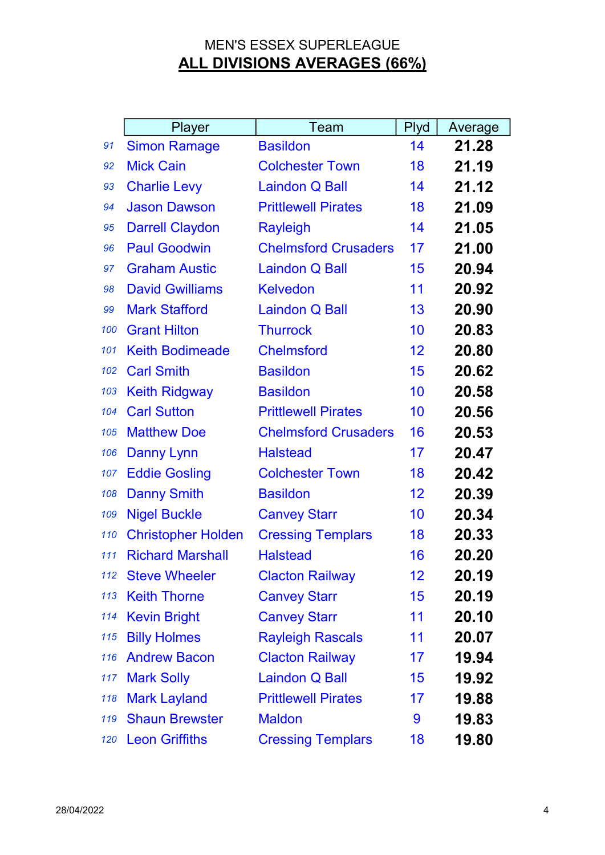|     | Player                    | Team                        | <b>Plyd</b> | Average |
|-----|---------------------------|-----------------------------|-------------|---------|
| 91  | <b>Simon Ramage</b>       | <b>Basildon</b>             | 14          | 21.28   |
| 92  | <b>Mick Cain</b>          | <b>Colchester Town</b>      | 18          | 21.19   |
| 93  | <b>Charlie Levy</b>       | <b>Laindon Q Ball</b>       | 14          | 21.12   |
| 94  | <b>Jason Dawson</b>       | <b>Prittlewell Pirates</b>  | 18          | 21.09   |
| 95  | <b>Darrell Claydon</b>    | <b>Rayleigh</b>             | 14          | 21.05   |
| 96  | <b>Paul Goodwin</b>       | <b>Chelmsford Crusaders</b> | 17          | 21.00   |
| 97  | <b>Graham Austic</b>      | <b>Laindon Q Ball</b>       | 15          | 20.94   |
| 98  | <b>David Gwilliams</b>    | <b>Kelvedon</b>             | 11          | 20.92   |
| 99  | <b>Mark Stafford</b>      | <b>Laindon Q Ball</b>       | 13          | 20.90   |
| 100 | <b>Grant Hilton</b>       | <b>Thurrock</b>             | 10          | 20.83   |
| 101 | <b>Keith Bodimeade</b>    | <b>Chelmsford</b>           | 12          | 20.80   |
| 102 | <b>Carl Smith</b>         | <b>Basildon</b>             | 15          | 20.62   |
| 103 | <b>Keith Ridgway</b>      | <b>Basildon</b>             | 10          | 20.58   |
| 104 | <b>Carl Sutton</b>        | <b>Prittlewell Pirates</b>  | 10          | 20.56   |
| 105 | <b>Matthew Doe</b>        | <b>Chelmsford Crusaders</b> | 16          | 20.53   |
| 106 | <b>Danny Lynn</b>         | <b>Halstead</b>             | 17          | 20.47   |
| 107 | <b>Eddie Gosling</b>      | <b>Colchester Town</b>      | 18          | 20.42   |
| 108 | <b>Danny Smith</b>        | <b>Basildon</b>             | 12          | 20.39   |
| 109 | <b>Nigel Buckle</b>       | <b>Canvey Starr</b>         | 10          | 20.34   |
| 110 | <b>Christopher Holden</b> | <b>Cressing Templars</b>    | 18          | 20.33   |
| 111 | <b>Richard Marshall</b>   | <b>Halstead</b>             | 16          | 20.20   |
| 112 | <b>Steve Wheeler</b>      | <b>Clacton Railway</b>      | 12          | 20.19   |
| 113 | <b>Keith Thorne</b>       | <b>Canvey Starr</b>         | 15          | 20.19   |
| 114 | <b>Kevin Bright</b>       | <b>Canvey Starr</b>         | 11          | 20.10   |
| 115 | <b>Billy Holmes</b>       | <b>Rayleigh Rascals</b>     | 11          | 20.07   |
| 116 | <b>Andrew Bacon</b>       | <b>Clacton Railway</b>      | 17          | 19.94   |
| 117 | <b>Mark Solly</b>         | Laindon Q Ball              | 15          | 19.92   |
| 118 | <b>Mark Layland</b>       | <b>Prittlewell Pirates</b>  | 17          | 19.88   |
| 119 | <b>Shaun Brewster</b>     | <b>Maldon</b>               | 9           | 19.83   |
| 120 | <b>Leon Griffiths</b>     | <b>Cressing Templars</b>    | 18          | 19.80   |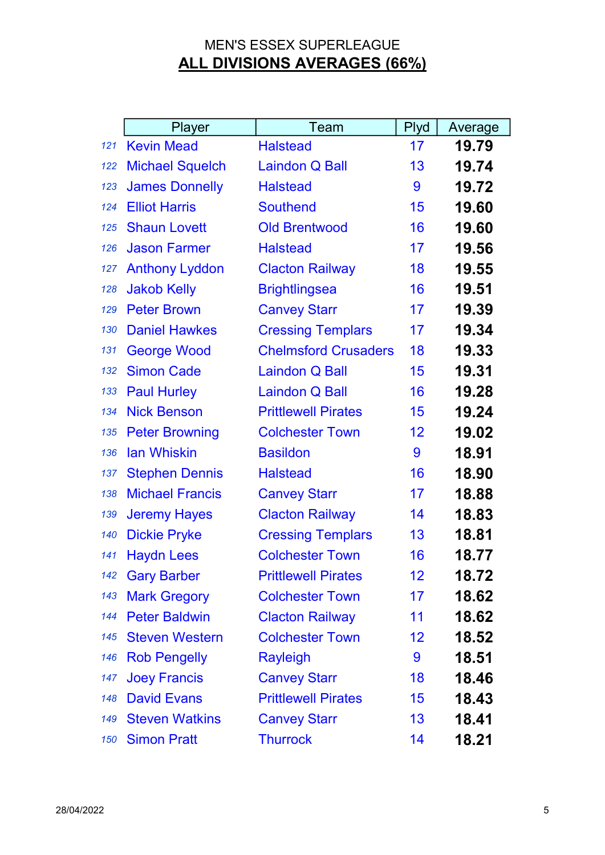|     | Player                 | Team                        | Plyd              | Average |
|-----|------------------------|-----------------------------|-------------------|---------|
| 121 | <b>Kevin Mead</b>      | <b>Halstead</b>             | 17                | 19.79   |
| 122 | <b>Michael Squelch</b> | <b>Laindon Q Ball</b>       | 13                | 19.74   |
| 123 | <b>James Donnelly</b>  | <b>Halstead</b>             | 9                 | 19.72   |
| 124 | <b>Elliot Harris</b>   | <b>Southend</b>             | 15                | 19.60   |
| 125 | <b>Shaun Lovett</b>    | <b>Old Brentwood</b>        | 16                | 19.60   |
| 126 | <b>Jason Farmer</b>    | <b>Halstead</b>             | 17                | 19.56   |
| 127 | <b>Anthony Lyddon</b>  | <b>Clacton Railway</b>      | 18                | 19.55   |
| 128 | <b>Jakob Kelly</b>     | <b>Brightlingsea</b>        | 16                | 19.51   |
| 129 | <b>Peter Brown</b>     | <b>Canvey Starr</b>         | 17                | 19.39   |
| 130 | <b>Daniel Hawkes</b>   | <b>Cressing Templars</b>    | 17                | 19.34   |
| 131 | <b>George Wood</b>     | <b>Chelmsford Crusaders</b> | 18                | 19.33   |
| 132 | <b>Simon Cade</b>      | <b>Laindon Q Ball</b>       | 15                | 19.31   |
| 133 | <b>Paul Hurley</b>     | <b>Laindon Q Ball</b>       | 16                | 19.28   |
| 134 | <b>Nick Benson</b>     | <b>Prittlewell Pirates</b>  | 15                | 19.24   |
| 135 | <b>Peter Browning</b>  | <b>Colchester Town</b>      | 12                | 19.02   |
| 136 | <b>lan Whiskin</b>     | <b>Basildon</b>             | 9                 | 18.91   |
| 137 | <b>Stephen Dennis</b>  | <b>Halstead</b>             | 16                | 18.90   |
| 138 | <b>Michael Francis</b> | <b>Canvey Starr</b>         | 17                | 18.88   |
| 139 | <b>Jeremy Hayes</b>    | <b>Clacton Railway</b>      | 14                | 18.83   |
| 140 | <b>Dickie Pryke</b>    | <b>Cressing Templars</b>    | 13                | 18.81   |
| 141 | <b>Haydn Lees</b>      | <b>Colchester Town</b>      | 16                | 18.77   |
| 142 | <b>Gary Barber</b>     | <b>Prittlewell Pirates</b>  | 12                | 18.72   |
| 143 | <b>Mark Gregory</b>    | <b>Colchester Town</b>      | 17                | 18.62   |
| 144 | <b>Peter Baldwin</b>   | <b>Clacton Railway</b>      | 11                | 18.62   |
| 145 | <b>Steven Western</b>  | <b>Colchester Town</b>      | $12 \overline{ }$ | 18.52   |
| 146 | <b>Rob Pengelly</b>    | <b>Rayleigh</b>             | 9                 | 18.51   |
| 147 | <b>Joey Francis</b>    | <b>Canvey Starr</b>         | 18                | 18.46   |
| 148 | <b>David Evans</b>     | <b>Prittlewell Pirates</b>  | 15                | 18.43   |
| 149 | <b>Steven Watkins</b>  | <b>Canvey Starr</b>         | 13                | 18.41   |
| 150 | <b>Simon Pratt</b>     | <b>Thurrock</b>             | 14                | 18.21   |